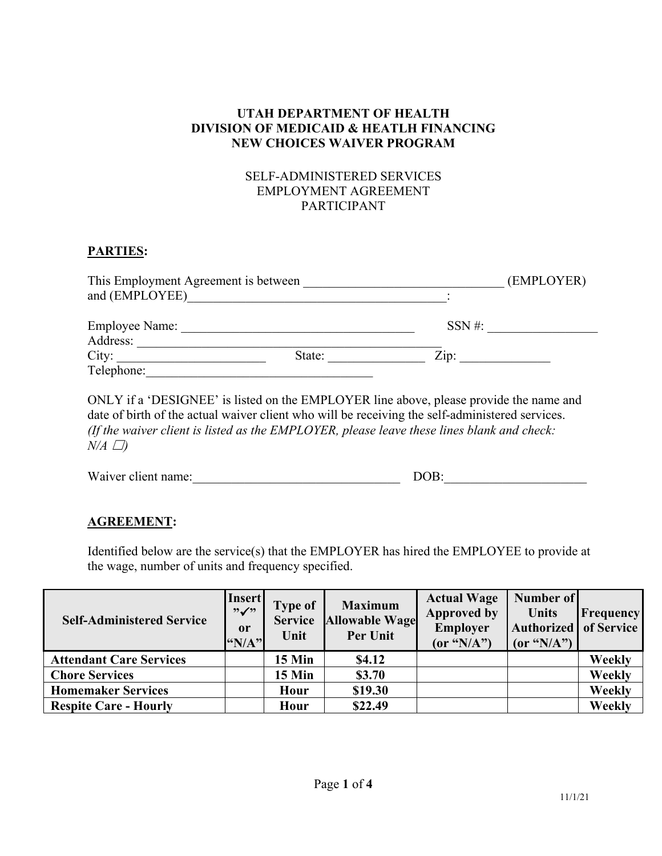# **UTAH DEPARTMENT OF HEALTH DIVISION OF MEDICAID & HEATLH FINANCING NEW CHOICES WAIVER PROGRAM**

# SELF-ADMINISTERED SERVICES EMPLOYMENT AGREEMENT PARTICIPANT

### **PARTIES:**

| This Employment Agreement is between |        | (EMPLOYER)      |  |
|--------------------------------------|--------|-----------------|--|
| and (EMPLOYEE)                       |        |                 |  |
| <b>Employee Name:</b><br>Address:    |        | $SSN \#$ :      |  |
| City:<br>Telephone:                  | State: | $\mathrm{Zip:}$ |  |

ONLY if a 'DESIGNEE' is listed on the EMPLOYER line above, please provide the name and date of birth of the actual waiver client who will be receiving the self-administered services. *(If the waiver client is listed as the EMPLOYER, please leave these lines blank and check:*   $N/A \Box$ )

| Waiver client name: | DOB: |  |
|---------------------|------|--|
|                     |      |  |

# **AGREEMENT:**

Identified below are the service(s) that the EMPLOYER has hired the EMPLOYEE to provide at the wage, number of units and frequency specified.

| <b>Self-Administered Service</b> | <b>Insert</b><br>,9<br><sub>or</sub><br>"N/A" | <b>Type of</b><br><b>Service</b><br>Unit | <b>Maximum</b><br><b>Allowable Wage</b><br>Per Unit | <b>Actual Wage</b><br><b>Approved by</b><br>Employer<br>(or " $N/A$ ") | Number of<br><b>Units</b><br>Authorized of Service<br>(or " $N/A$ ") | <b>Frequency</b> |
|----------------------------------|-----------------------------------------------|------------------------------------------|-----------------------------------------------------|------------------------------------------------------------------------|----------------------------------------------------------------------|------------------|
| <b>Attendant Care Services</b>   |                                               | 15 Min                                   | \$4.12                                              |                                                                        |                                                                      | Weekly           |
| <b>Chore Services</b>            |                                               | 15 Min                                   | \$3.70                                              |                                                                        |                                                                      | Weekly           |
| <b>Homemaker Services</b>        |                                               | Hour                                     | \$19.30                                             |                                                                        |                                                                      | Weekly           |
| <b>Respite Care - Hourly</b>     |                                               | Hour                                     | \$22.49                                             |                                                                        |                                                                      | Weekly           |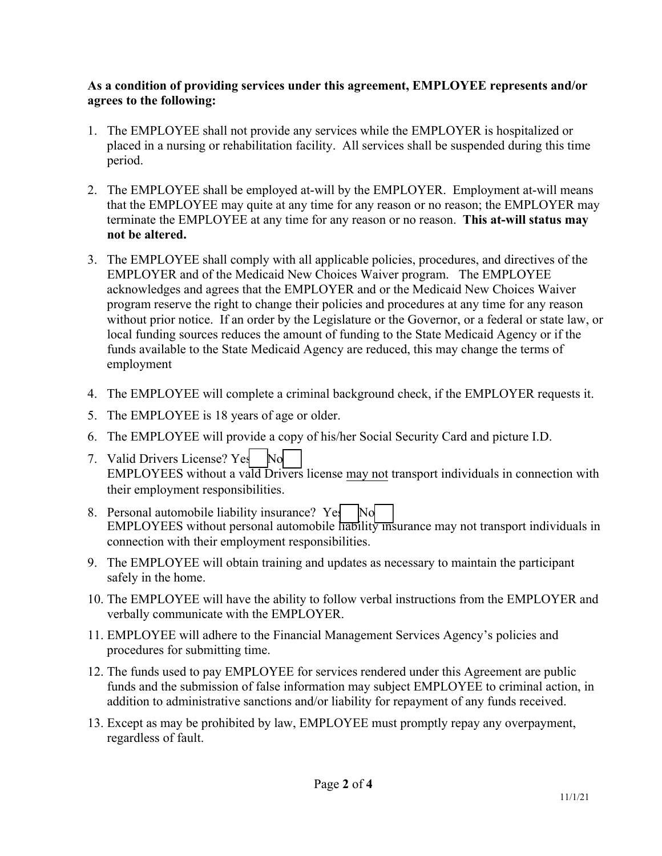## **As a condition of providing services under this agreement, EMPLOYEE represents and/or agrees to the following:**

- 1. The EMPLOYEE shall not provide any services while the EMPLOYER is hospitalized or placed in a nursing or rehabilitation facility. All services shall be suspended during this time period.
- 2. The EMPLOYEE shall be employed at-will by the EMPLOYER. Employment at-will means that the EMPLOYEE may quite at any time for any reason or no reason; the EMPLOYER may terminate the EMPLOYEE at any time for any reason or no reason. **This at-will status may not be altered.**
- 3. The EMPLOYEE shall comply with all applicable policies, procedures, and directives of the EMPLOYER and of the Medicaid New Choices Waiver program. The EMPLOYEE acknowledges and agrees that the EMPLOYER and or the Medicaid New Choices Waiver program reserve the right to change their policies and procedures at any time for any reason without prior notice. If an order by the Legislature or the Governor, or a federal or state law, or local funding sources reduces the amount of funding to the State Medicaid Agency or if the funds available to the State Medicaid Agency are reduced, this may change the terms of employment
- 4. The EMPLOYEE will complete a criminal background check, if the EMPLOYER requests it.
- 5. The EMPLOYEE is 18 years of age or older.
- 6. The EMPLOYEE will provide a copy of his/her Social Security Card and picture I.D.
- 7. Valid Drivers License? Yes No EMPLOYEES without a vald Drivers license may not transport individuals in connection with their employment responsibilities.
- 8. Personal automobile liability insurance? Yes No EMPLOYEES without personal automobile liability insurance may not transport individuals in connection with their employment responsibilities.
- 9. The EMPLOYEE will obtain training and updates as necessary to maintain the participant safely in the home.
- 10. The EMPLOYEE will have the ability to follow verbal instructions from the EMPLOYER and verbally communicate with the EMPLOYER.
- 11. EMPLOYEE will adhere to the Financial Management Services Agency's policies and procedures for submitting time.
- 12. The funds used to pay EMPLOYEE for services rendered under this Agreement are public funds and the submission of false information may subject EMPLOYEE to criminal action, in addition to administrative sanctions and/or liability for repayment of any funds received.
- 13. Except as may be prohibited by law, EMPLOYEE must promptly repay any overpayment, regardless of fault.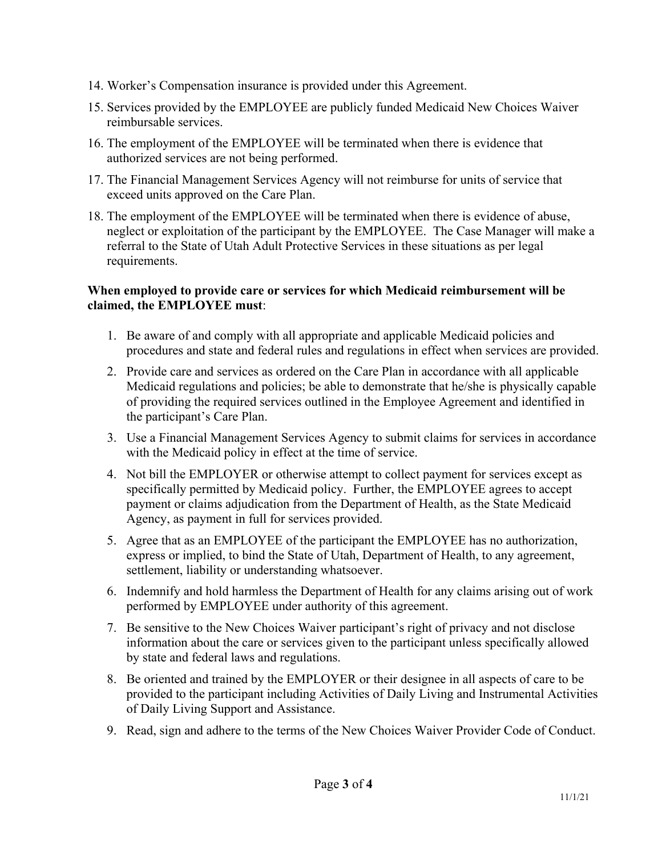- 14. Worker's Compensation insurance is provided under this Agreement.
- 15. Services provided by the EMPLOYEE are publicly funded Medicaid New Choices Waiver reimbursable services.
- 16. The employment of the EMPLOYEE will be terminated when there is evidence that authorized services are not being performed.
- 17. The Financial Management Services Agency will not reimburse for units of service that exceed units approved on the Care Plan.
- 18. The employment of the EMPLOYEE will be terminated when there is evidence of abuse, neglect or exploitation of the participant by the EMPLOYEE. The Case Manager will make a referral to the State of Utah Adult Protective Services in these situations as per legal requirements.

# **When employed to provide care or services for which Medicaid reimbursement will be claimed, the EMPLOYEE must**:

- 1. Be aware of and comply with all appropriate and applicable Medicaid policies and procedures and state and federal rules and regulations in effect when services are provided.
- 2. Provide care and services as ordered on the Care Plan in accordance with all applicable Medicaid regulations and policies; be able to demonstrate that he/she is physically capable of providing the required services outlined in the Employee Agreement and identified in the participant's Care Plan.
- 3. Use a Financial Management Services Agency to submit claims for services in accordance with the Medicaid policy in effect at the time of service.
- 4. Not bill the EMPLOYER or otherwise attempt to collect payment for services except as specifically permitted by Medicaid policy. Further, the EMPLOYEE agrees to accept payment or claims adjudication from the Department of Health, as the State Medicaid Agency, as payment in full for services provided.
- 5. Agree that as an EMPLOYEE of the participant the EMPLOYEE has no authorization, express or implied, to bind the State of Utah, Department of Health, to any agreement, settlement, liability or understanding whatsoever.
- 6. Indemnify and hold harmless the Department of Health for any claims arising out of work performed by EMPLOYEE under authority of this agreement.
- 7. Be sensitive to the New Choices Waiver participant's right of privacy and not disclose information about the care or services given to the participant unless specifically allowed by state and federal laws and regulations.
- 8. Be oriented and trained by the EMPLOYER or their designee in all aspects of care to be provided to the participant including Activities of Daily Living and Instrumental Activities of Daily Living Support and Assistance.
- 9. Read, sign and adhere to the terms of the New Choices Waiver Provider Code of Conduct.